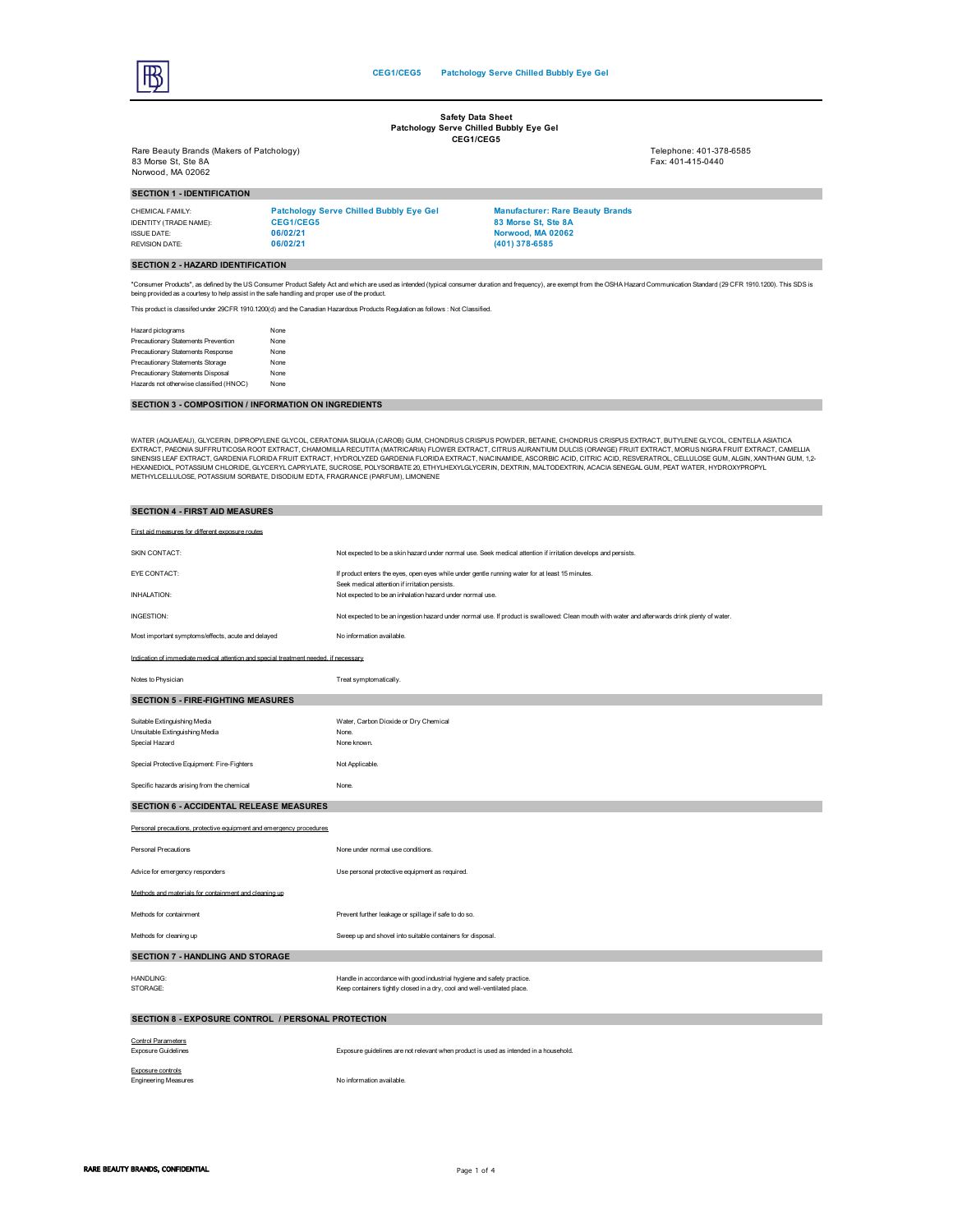$\overline{B}$ 

#### **Safety Data Sheet Patchology Serve Chilled Bubbly Eye Gel CEG1/CEG5**

Rare Beauty Brands (Makers of Patchology) Telephone: 401-378-6585 83 Morse St, Ste 8A Fax: 401-415-0440 Norwood, MA 02062

**SECTION 1 - IDENTIFICATION**

CHEMICAL FAMILY: **Patchology Serve Chilled Bubbly Eye Gel Manufacturer: Rare Beauty Brands** IDENTITY (TRADE NAME): **CEG1/CEG5 83 Morse St, Ste 8A** ISSUE DATE: **06/02/21 Norwood, MA 02062** REVISION DATE: **06/02/21 (401) 378-6585**

## **SECTION 2 - HAZARD IDENTIFICATION**

"Consumer Products", as defined by the US Consumer Product Safety Act and which are used as intended (typical consumer duration and frequency), are exempt from the OSHA Hazard Communication Standard (29 CFR 1910.1200). Thi being provided as a courtesy to help assist in the safe handling and proper use of the product.

This product is classifed under 29CFR 1910.1200(d) and the Canadian Hazardous Products Regulation as follows : Not Classified.

Hazard pictograms<br>Precautionary Statements Prevention None Precautionary Statements Prevention Precautionary Statements Response None Precautionary Statements Storage None Precautionary Statements Disposal None Hazards not otherwise classified (HNOC) None

## **SECTION 3 - COMPOSITION / INFORMATION ON INGREDIENTS**

WATER (AQUAEAU), GLYCERIN, DIPROPYLENE GLYCOL, CERATONA SILIQUA CHOROLOGION CORPOS DE SONO CONTROLOGION CONTROLOGION CONTROLOGION DE SONO A CONTROLOGION DE SONO A CHOROLOGION DE SONO A CHOROLOGION DE SONO A CHOROLOGION DE SINENSIS LEAF EXTRACT, GARDENIA FLORIDA FRUIT EXTRACT, HYDROLYZED GARDENIA FLORIDA EXTRACT, NACINAIDEL ASOCRBIC ACID, CITRIC ACID, RESVERATROL, CELLULOSE GUM, ALGIN, XANTHAN GUM, 12-<br>HEXANEDICI, POTASSIUM SCHEAR GUYCERYL C

| <b>SECTION 4 - FIRST AID MEASURES</b>                                                |                                                                                                                                                    |  |
|--------------------------------------------------------------------------------------|----------------------------------------------------------------------------------------------------------------------------------------------------|--|
| First aid measures for different exposure routes                                     |                                                                                                                                                    |  |
| SKIN CONTACT:                                                                        | Not expected to be a skin hazard under normal use. Seek medical attention if irritation develops and persists.                                     |  |
| EYE CONTACT:                                                                         | If product enters the eyes, open eyes while under gentle running water for at least 15 minutes.<br>Seek medical attention if irritation persists.  |  |
| INHALATION:                                                                          | Not expected to be an inhalation hazard under normal use.                                                                                          |  |
| INGESTION:                                                                           | Not expected to be an ingestion hazard under normal use. If product is swallowed: Clean mouth with water and afterwards drink plenty of water.     |  |
| Most important symptoms/effects, acute and delayed                                   | No information available.                                                                                                                          |  |
| Indication of immediate medical attention and special treatment needed, if necessary |                                                                                                                                                    |  |
| Notes to Physician                                                                   | Treat symptomatically.                                                                                                                             |  |
| <b>SECTION 5 - FIRE-FIGHTING MEASURES</b>                                            |                                                                                                                                                    |  |
| Suitable Extinguishing Media<br>Unsuitable Extinguishing Media<br>Special Hazard     | Water, Carbon Dioxide or Dry Chemical<br>None.<br>None known.                                                                                      |  |
| Special Protective Equipment: Fire-Fighters                                          | Not Applicable.                                                                                                                                    |  |
| Specific hazards arising from the chemical                                           | None.                                                                                                                                              |  |
| SECTION 6 - ACCIDENTAL RELEASE MEASURES                                              |                                                                                                                                                    |  |
| Personal precautions, protective equipment and emergency procedures                  |                                                                                                                                                    |  |
| <b>Personal Precautions</b>                                                          | None under normal use conditions.                                                                                                                  |  |
| Advice for emergency responders                                                      | Use personal protective equipment as required.                                                                                                     |  |
| Methods and materials for containment and cleaning up                                |                                                                                                                                                    |  |
| Methods for containment                                                              | Prevent further leakage or spillage if safe to do so.                                                                                              |  |
| Methods for cleaning up                                                              | Sweep up and shovel into suitable containers for disposal.                                                                                         |  |
| <b>SECTION 7 - HANDLING AND STORAGE</b>                                              |                                                                                                                                                    |  |
| HANDLING:<br>STORAGE:                                                                | Handle in accordance with good industrial hygiene and safety practice.<br>Keep containers tightly closed in a dry, cool and well-ventilated place. |  |
| SECTION 8 - EXPOSURE CONTROL / PERSONAL PROTECTION                                   |                                                                                                                                                    |  |
| <b>Control Parameters</b><br><b>Exposure Guidelines</b>                              | Exposure guidelines are not relevant when product is used as intended in a household.                                                              |  |
| Exposure controls<br><b>Engineering Measures</b>                                     | No information available.                                                                                                                          |  |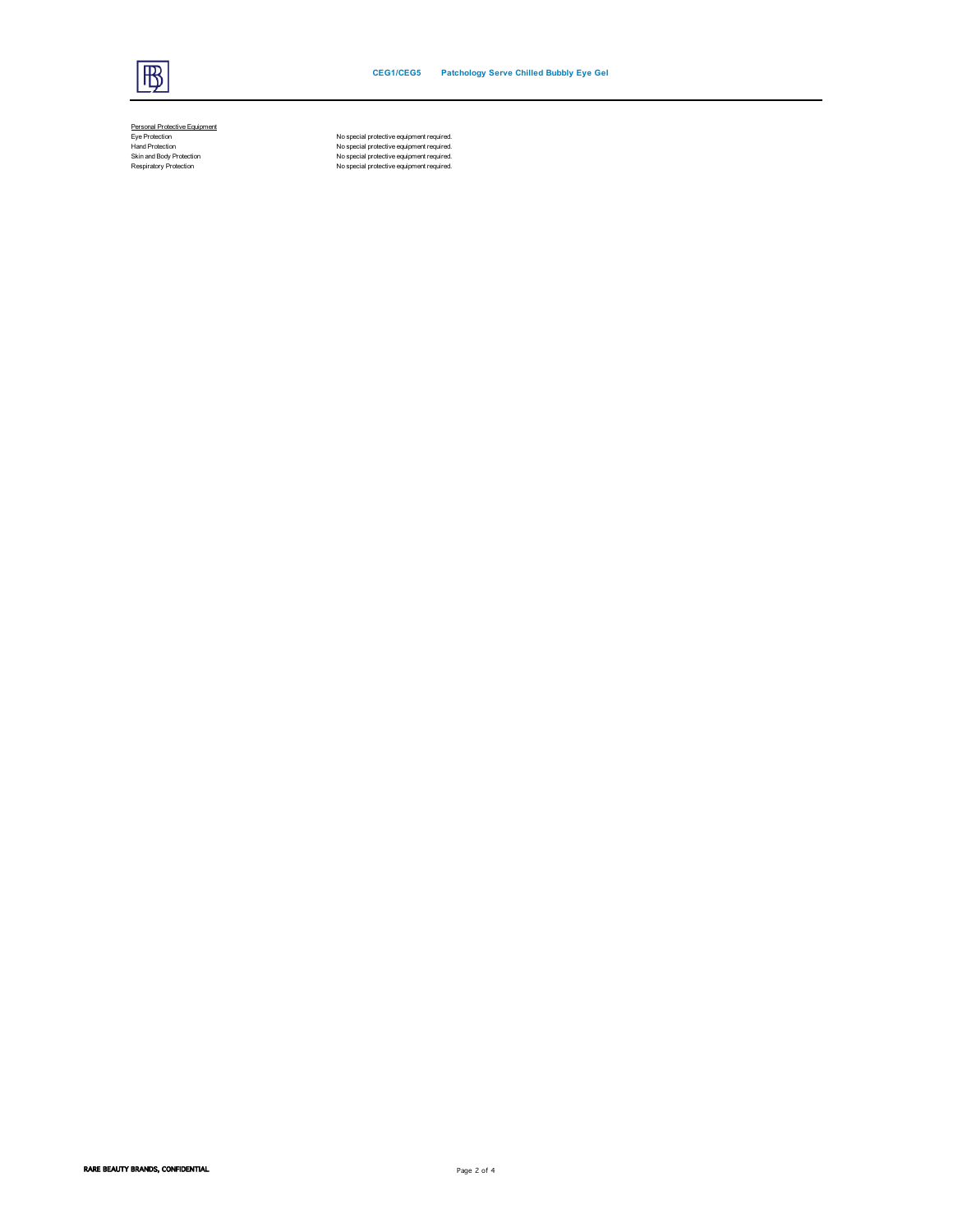

Personal Protective Equipment<br>Eye Protection<br>Hand Protection<br>Skin and Body Protection<br>Respiratory Protection

No special protective equipment required.<br>Hand Protection (November 2001) No special protective equipment required.<br>No special protection (November 2001) No special protective equipment required.<br>No special protective equi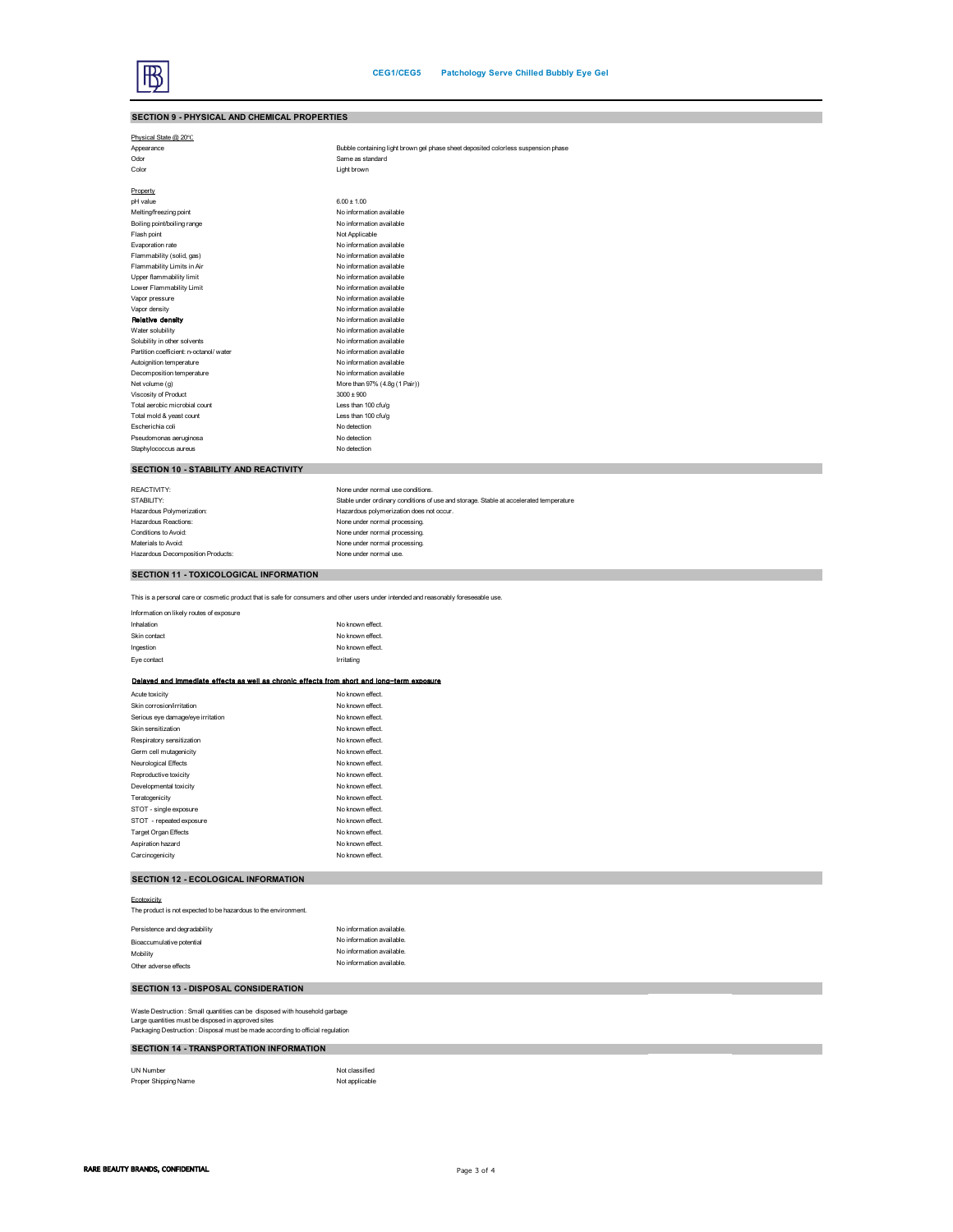| SECTION 9 - PHYSICAL AND CHEMICAL PROPERTIES                                                                                          |                                                                                        |
|---------------------------------------------------------------------------------------------------------------------------------------|----------------------------------------------------------------------------------------|
| Physical State @ 20°C                                                                                                                 |                                                                                        |
| Appearance                                                                                                                            | Bubble containing light brown gel phase sheet deposited colorless suspension phase     |
| Odor                                                                                                                                  | Same as standard                                                                       |
| Color                                                                                                                                 | Light brown                                                                            |
| Property                                                                                                                              |                                                                                        |
| pH value                                                                                                                              | $6.00 \pm 1.00$                                                                        |
| Melting/freezing point                                                                                                                | No information available                                                               |
| Boiling point/boiling range                                                                                                           | No information available                                                               |
| Flash point                                                                                                                           | Not Applicable                                                                         |
| Evaporation rate                                                                                                                      | No information available                                                               |
| Flammability (solid, gas)                                                                                                             | No information available                                                               |
| Flammability Limits in Air                                                                                                            | No information available                                                               |
| Upper flammability limit                                                                                                              | No information available                                                               |
| Lower Flammability Limit                                                                                                              | No information available                                                               |
| Vapor pressure                                                                                                                        | No information available                                                               |
| Vapor density                                                                                                                         | No information available                                                               |
| Relative density                                                                                                                      | No information available                                                               |
| Water solubility                                                                                                                      | No information available                                                               |
| Solubility in other solvents                                                                                                          | No information available                                                               |
| Partition coefficient: n-octanol/ water                                                                                               | No information available                                                               |
| Autoignition temperature                                                                                                              | No information available                                                               |
| Decomposition temperature                                                                                                             | No information available                                                               |
| Net volume (g)                                                                                                                        | More than 97% (4.8g (1 Pair))                                                          |
| Viscosity of Product                                                                                                                  | $3000 \pm 900$                                                                         |
| Total aerobic microbial count                                                                                                         | Less than 100 cfu/g                                                                    |
| Total mold & yeast count                                                                                                              | Less than 100 cfu/g                                                                    |
| Escherichia coli                                                                                                                      | No detection                                                                           |
| Pseudomonas aeruginosa                                                                                                                | No detection                                                                           |
| Staphylococcus aureus                                                                                                                 | No detection                                                                           |
| SECTION 10 - STABILITY AND REACTIVITY                                                                                                 |                                                                                        |
| REACTIVITY:                                                                                                                           | None under normal use conditions.                                                      |
| STABILITY:                                                                                                                            | Stable under ordinary conditions of use and storage. Stable at accelerated temperature |
| Hazardous Polymerization:                                                                                                             | Hazardous polymerization does not occur.                                               |
| Hazardous Reactions:                                                                                                                  | None under normal processing.                                                          |
| Conditions to Avoid:                                                                                                                  | None under normal processing.                                                          |
| Materials to Avoid:                                                                                                                   | None under normal processing.                                                          |
| Hazardous Decomposition Products:                                                                                                     | None under normal use.                                                                 |
|                                                                                                                                       |                                                                                        |
| SECTION 11 - TOXICOLOGICAL INFORMATION                                                                                                |                                                                                        |
| This is a personal care or cosmetic product that is safe for consumers and other users under intended and reasonably foreseeable use. |                                                                                        |
| Information on likely routes of exposure                                                                                              |                                                                                        |
| Inhalation                                                                                                                            | No known effect.                                                                       |
| Skin contact                                                                                                                          | No known effect.                                                                       |
| Ingestion                                                                                                                             | No known effect.                                                                       |
| Eye contact                                                                                                                           | Irritating                                                                             |
| Delaved and immediate effects as well as chronic effects from short and long-term exposure                                            |                                                                                        |
| Acute toxicity                                                                                                                        | No known effect.                                                                       |
| Skin corrosion/irritation                                                                                                             | No known effect.                                                                       |
| Serious eye damage/eye irritation                                                                                                     | No known effect.                                                                       |
| Skin sensitization                                                                                                                    | No known effect.                                                                       |
| Respiratory sensitization                                                                                                             | No known effect.                                                                       |
| Germ cell mutagenicity                                                                                                                | No known effect.                                                                       |
| Neurological Effects                                                                                                                  | No known effect.                                                                       |
| Reproductive toxicity                                                                                                                 | No known effect.                                                                       |
| Developmental toxicity                                                                                                                | No known effect.                                                                       |
| Teratogenicity                                                                                                                        | No known effect.                                                                       |
| STOT - single exposure                                                                                                                | No known effect.                                                                       |
| STOT - repeated exposure                                                                                                              | No known effect.                                                                       |
|                                                                                                                                       |                                                                                        |

## **SECTION 12 - ECOLOGICAL INFORMATION**

Target Organ Effects Aspiration hazard

| Ecotoxicity                                                     |                           |
|-----------------------------------------------------------------|---------------------------|
| The product is not expected to be hazardous to the environment. |                           |
| Persistence and degradability                                   | No information available. |
| Bioaccumulative potential                                       | No information available. |
| Mobility                                                        | No information available. |
| Other adverse effects                                           | No information available. |
|                                                                 |                           |

Carcinogenicity Carcinogenicity<br>
Carcinogenicity No known effect.<br>
Carcinogenicity No known effect.<br>
Carcinogenicity No known effect.

# **SECTION 13 - DISPOSAL CONSIDERATION**

Waste Destruction : Small quantities can be disposed with household garbage<br>Large quantities must be disposed in approved sites<br>Packaging Destruction : Disposal must be made according to official regulation

## **SECTION 14 - TRANSPORTATION INFORMATION**

UN Number Not classified<br>Proper Shipping Name Not applicable Not applicable